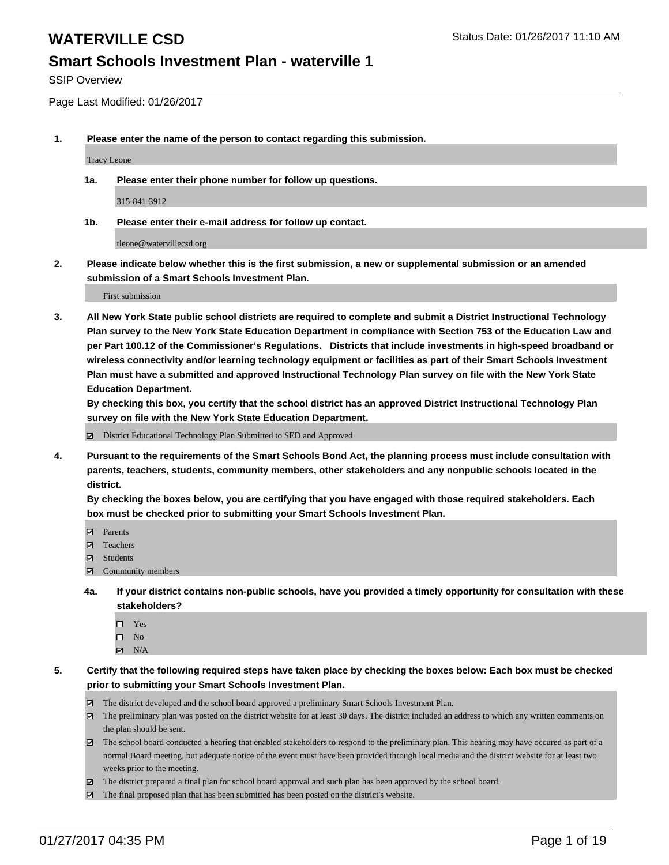SSIP Overview

Page Last Modified: 01/26/2017

**1. Please enter the name of the person to contact regarding this submission.**

Tracy Leone

**1a. Please enter their phone number for follow up questions.**

315-841-3912

**1b. Please enter their e-mail address for follow up contact.**

tleone@watervillecsd.org

**2. Please indicate below whether this is the first submission, a new or supplemental submission or an amended submission of a Smart Schools Investment Plan.**

First submission

**3. All New York State public school districts are required to complete and submit a District Instructional Technology Plan survey to the New York State Education Department in compliance with Section 753 of the Education Law and per Part 100.12 of the Commissioner's Regulations. Districts that include investments in high-speed broadband or wireless connectivity and/or learning technology equipment or facilities as part of their Smart Schools Investment Plan must have a submitted and approved Instructional Technology Plan survey on file with the New York State Education Department.** 

**By checking this box, you certify that the school district has an approved District Instructional Technology Plan survey on file with the New York State Education Department.**

District Educational Technology Plan Submitted to SED and Approved

**4. Pursuant to the requirements of the Smart Schools Bond Act, the planning process must include consultation with parents, teachers, students, community members, other stakeholders and any nonpublic schools located in the district.** 

**By checking the boxes below, you are certifying that you have engaged with those required stakeholders. Each box must be checked prior to submitting your Smart Schools Investment Plan.**

- **Parents**
- Teachers
- **冈** Students
- Community members
- **4a. If your district contains non-public schools, have you provided a timely opportunity for consultation with these stakeholders?**
	- □ Yes
	- $\square$  No
	- $\boxtimes$  N/A
- **5. Certify that the following required steps have taken place by checking the boxes below: Each box must be checked prior to submitting your Smart Schools Investment Plan.**
	- The district developed and the school board approved a preliminary Smart Schools Investment Plan.
	- The preliminary plan was posted on the district website for at least 30 days. The district included an address to which any written comments on the plan should be sent.
	- The school board conducted a hearing that enabled stakeholders to respond to the preliminary plan. This hearing may have occured as part of a normal Board meeting, but adequate notice of the event must have been provided through local media and the district website for at least two weeks prior to the meeting.
	- The district prepared a final plan for school board approval and such plan has been approved by the school board.
	- $\boxtimes$  The final proposed plan that has been submitted has been posted on the district's website.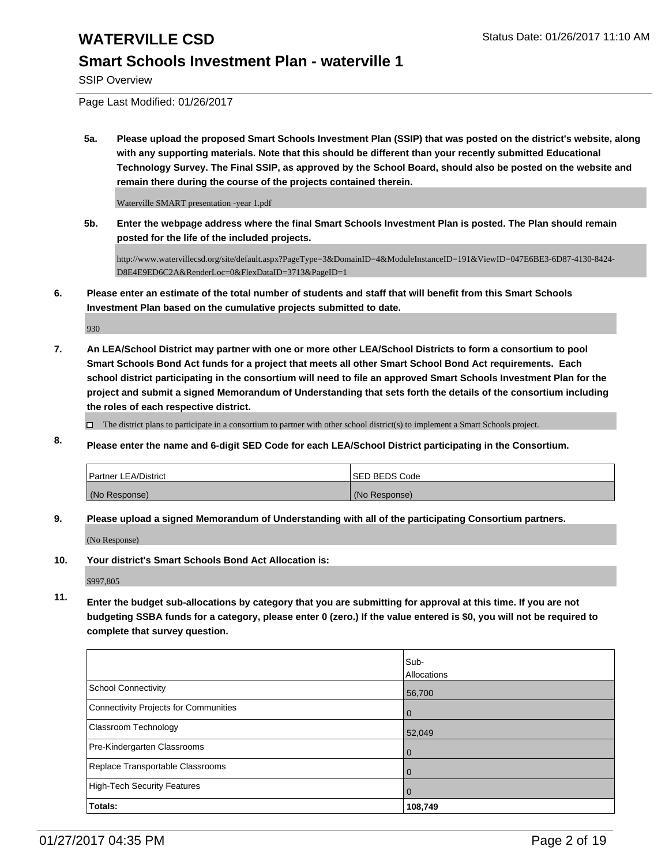SSIP Overview

Page Last Modified: 01/26/2017

**5a. Please upload the proposed Smart Schools Investment Plan (SSIP) that was posted on the district's website, along with any supporting materials. Note that this should be different than your recently submitted Educational Technology Survey. The Final SSIP, as approved by the School Board, should also be posted on the website and remain there during the course of the projects contained therein.**

Waterville SMART presentation -year 1.pdf

**5b. Enter the webpage address where the final Smart Schools Investment Plan is posted. The Plan should remain posted for the life of the included projects.**

http://www.watervillecsd.org/site/default.aspx?PageType=3&DomainID=4&ModuleInstanceID=191&ViewID=047E6BE3-6D87-4130-8424- D8E4E9ED6C2A&RenderLoc=0&FlexDataID=3713&PageID=1

**6. Please enter an estimate of the total number of students and staff that will benefit from this Smart Schools Investment Plan based on the cumulative projects submitted to date.**

930

**7. An LEA/School District may partner with one or more other LEA/School Districts to form a consortium to pool Smart Schools Bond Act funds for a project that meets all other Smart School Bond Act requirements. Each school district participating in the consortium will need to file an approved Smart Schools Investment Plan for the project and submit a signed Memorandum of Understanding that sets forth the details of the consortium including the roles of each respective district.**

 $\Box$  The district plans to participate in a consortium to partner with other school district(s) to implement a Smart Schools project.

**8. Please enter the name and 6-digit SED Code for each LEA/School District participating in the Consortium.**

| <b>Partner LEA/District</b> | ISED BEDS Code |
|-----------------------------|----------------|
| (No Response)               | (No Response)  |

**9. Please upload a signed Memorandum of Understanding with all of the participating Consortium partners.**

(No Response)

**10. Your district's Smart Schools Bond Act Allocation is:**

\$997,805

**11. Enter the budget sub-allocations by category that you are submitting for approval at this time. If you are not budgeting SSBA funds for a category, please enter 0 (zero.) If the value entered is \$0, you will not be required to complete that survey question.**

|                                       | Sub-           |
|---------------------------------------|----------------|
|                                       | Allocations    |
| School Connectivity                   | 56,700         |
| Connectivity Projects for Communities | $\overline{0}$ |
| <b>Classroom Technology</b>           | 52,049         |
| Pre-Kindergarten Classrooms           | $\overline{0}$ |
| Replace Transportable Classrooms      | $\mathbf 0$    |
| High-Tech Security Features           | $\mathbf 0$    |
| Totals:                               | 108,749        |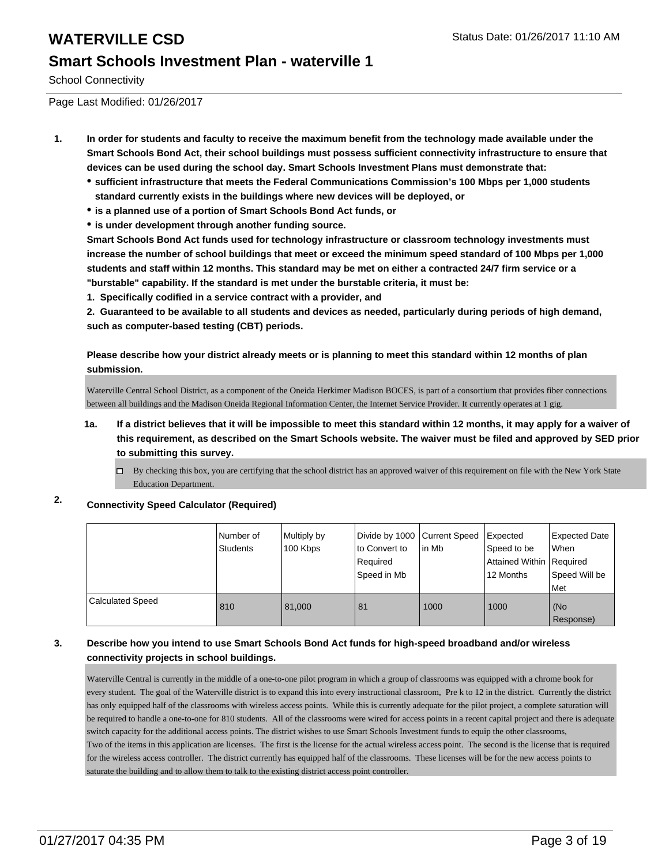School Connectivity

Page Last Modified: 01/26/2017

- **1. In order for students and faculty to receive the maximum benefit from the technology made available under the Smart Schools Bond Act, their school buildings must possess sufficient connectivity infrastructure to ensure that devices can be used during the school day. Smart Schools Investment Plans must demonstrate that:**
	- **sufficient infrastructure that meets the Federal Communications Commission's 100 Mbps per 1,000 students standard currently exists in the buildings where new devices will be deployed, or**
	- **is a planned use of a portion of Smart Schools Bond Act funds, or**
	- **is under development through another funding source.**

**Smart Schools Bond Act funds used for technology infrastructure or classroom technology investments must increase the number of school buildings that meet or exceed the minimum speed standard of 100 Mbps per 1,000 students and staff within 12 months. This standard may be met on either a contracted 24/7 firm service or a "burstable" capability. If the standard is met under the burstable criteria, it must be:**

**1. Specifically codified in a service contract with a provider, and**

**2. Guaranteed to be available to all students and devices as needed, particularly during periods of high demand, such as computer-based testing (CBT) periods.**

**Please describe how your district already meets or is planning to meet this standard within 12 months of plan submission.**

Waterville Central School District, as a component of the Oneida Herkimer Madison BOCES, is part of a consortium that provides fiber connections between all buildings and the Madison Oneida Regional Information Center, the Internet Service Provider. It currently operates at 1 gig.

- **1a. If a district believes that it will be impossible to meet this standard within 12 months, it may apply for a waiver of this requirement, as described on the Smart Schools website. The waiver must be filed and approved by SED prior to submitting this survey.**
	- By checking this box, you are certifying that the school district has an approved waiver of this requirement on file with the New York State Education Department.

## **2. Connectivity Speed Calculator (Required)**

|                  | Number of<br><b>Students</b> | Multiply by<br>100 Kbps | Divide by 1000 Current Speed<br>to Convert to<br>Required<br>Speed in Mb | lin Mb | Expected<br>Speed to be<br>Attained Within   Required<br>12 Months | Expected Date<br><b>When</b><br>Speed Will be<br>Met |
|------------------|------------------------------|-------------------------|--------------------------------------------------------------------------|--------|--------------------------------------------------------------------|------------------------------------------------------|
| Calculated Speed | 810                          | 81.000                  | 81                                                                       | 1000   | 1000                                                               | (No<br>Response)                                     |

### **3. Describe how you intend to use Smart Schools Bond Act funds for high-speed broadband and/or wireless connectivity projects in school buildings.**

Waterville Central is currently in the middle of a one-to-one pilot program in which a group of classrooms was equipped with a chrome book for every student. The goal of the Waterville district is to expand this into every instructional classroom, Pre k to 12 in the district. Currently the district has only equipped half of the classrooms with wireless access points. While this is currently adequate for the pilot project, a complete saturation will be required to handle a one-to-one for 810 students. All of the classrooms were wired for access points in a recent capital project and there is adequate switch capacity for the additional access points. The district wishes to use Smart Schools Investment funds to equip the other classrooms, Two of the items in this application are licenses. The first is the license for the actual wireless access point. The second is the license that is required for the wireless access controller. The district currently has equipped half of the classrooms. These licenses will be for the new access points to saturate the building and to allow them to talk to the existing district access point controller.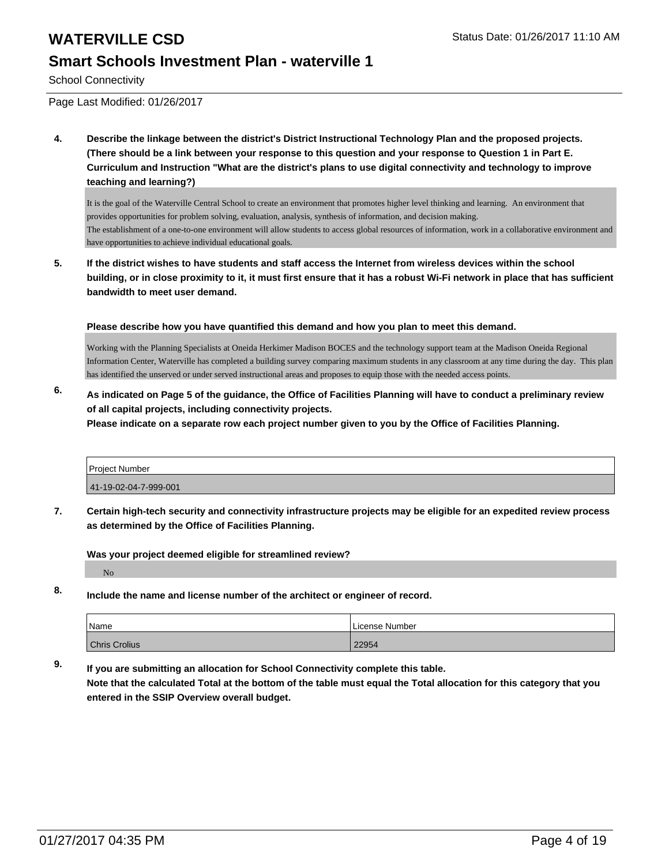School Connectivity

Page Last Modified: 01/26/2017

**4. Describe the linkage between the district's District Instructional Technology Plan and the proposed projects. (There should be a link between your response to this question and your response to Question 1 in Part E. Curriculum and Instruction "What are the district's plans to use digital connectivity and technology to improve teaching and learning?)**

It is the goal of the Waterville Central School to create an environment that promotes higher level thinking and learning. An environment that provides opportunities for problem solving, evaluation, analysis, synthesis of information, and decision making. The establishment of a one-to-one environment will allow students to access global resources of information, work in a collaborative environment and have opportunities to achieve individual educational goals.

**5. If the district wishes to have students and staff access the Internet from wireless devices within the school building, or in close proximity to it, it must first ensure that it has a robust Wi-Fi network in place that has sufficient bandwidth to meet user demand.**

**Please describe how you have quantified this demand and how you plan to meet this demand.**

Working with the Planning Specialists at Oneida Herkimer Madison BOCES and the technology support team at the Madison Oneida Regional Information Center, Waterville has completed a building survey comparing maximum students in any classroom at any time during the day. This plan has identified the unserved or under served instructional areas and proposes to equip those with the needed access points.

**6. As indicated on Page 5 of the guidance, the Office of Facilities Planning will have to conduct a preliminary review of all capital projects, including connectivity projects.**

**Please indicate on a separate row each project number given to you by the Office of Facilities Planning.**

| <b>Project Number</b> |  |
|-----------------------|--|
| 41-19-02-04-7-999-001 |  |

**7. Certain high-tech security and connectivity infrastructure projects may be eligible for an expedited review process as determined by the Office of Facilities Planning.**

**Was your project deemed eligible for streamlined review?**

No

**8. Include the name and license number of the architect or engineer of record.**

| Name                 | License Number |
|----------------------|----------------|
| <b>Chris Crolius</b> | 22954          |

**9. If you are submitting an allocation for School Connectivity complete this table. Note that the calculated Total at the bottom of the table must equal the Total allocation for this category that you entered in the SSIP Overview overall budget.**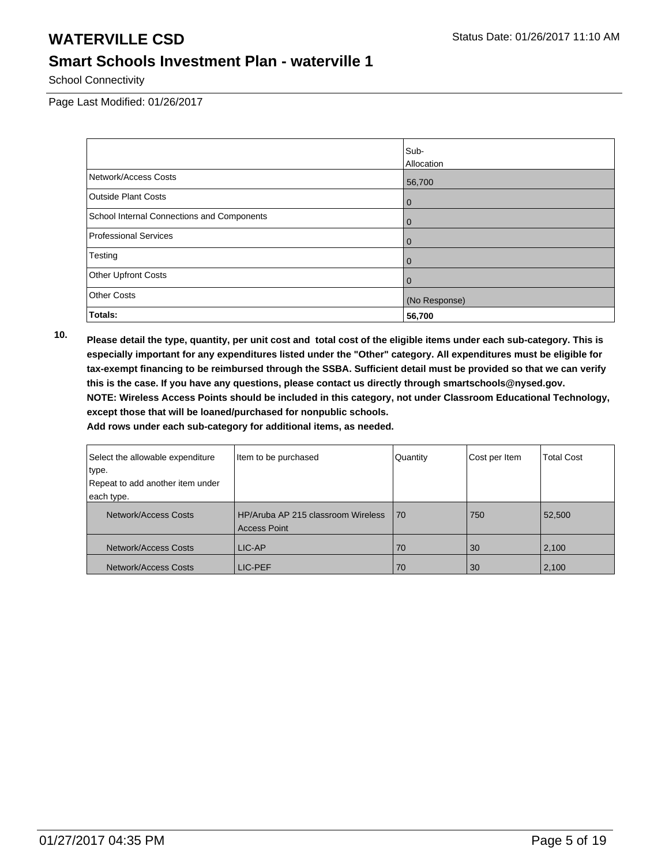School Connectivity

Page Last Modified: 01/26/2017

|                                            | Sub-              |
|--------------------------------------------|-------------------|
|                                            | <b>Allocation</b> |
| Network/Access Costs                       | 56,700            |
| <b>Outside Plant Costs</b>                 | 0                 |
| School Internal Connections and Components | $\overline{0}$    |
| Professional Services                      | $\overline{0}$    |
| Testing                                    | $\overline{0}$    |
| <b>Other Upfront Costs</b>                 | $\overline{0}$    |
| <b>Other Costs</b>                         | (No Response)     |
| Totals:                                    | 56,700            |

**10. Please detail the type, quantity, per unit cost and total cost of the eligible items under each sub-category. This is especially important for any expenditures listed under the "Other" category. All expenditures must be eligible for tax-exempt financing to be reimbursed through the SSBA. Sufficient detail must be provided so that we can verify this is the case. If you have any questions, please contact us directly through smartschools@nysed.gov. NOTE: Wireless Access Points should be included in this category, not under Classroom Educational Technology, except those that will be loaned/purchased for nonpublic schools.**

| Select the allowable expenditure | Item to be purchased                                      | Quantity | Cost per Item | <b>Total Cost</b> |
|----------------------------------|-----------------------------------------------------------|----------|---------------|-------------------|
| type.                            |                                                           |          |               |                   |
| Repeat to add another item under |                                                           |          |               |                   |
| each type.                       |                                                           |          |               |                   |
| Network/Access Costs             | HP/Aruba AP 215 classroom Wireless<br><b>Access Point</b> | l 70     | 750           | 52,500            |
| Network/Access Costs             | LIC-AP                                                    | 70       | 30            | 2,100             |
| Network/Access Costs             | LIC-PEF                                                   | 70       | 30            | 2,100             |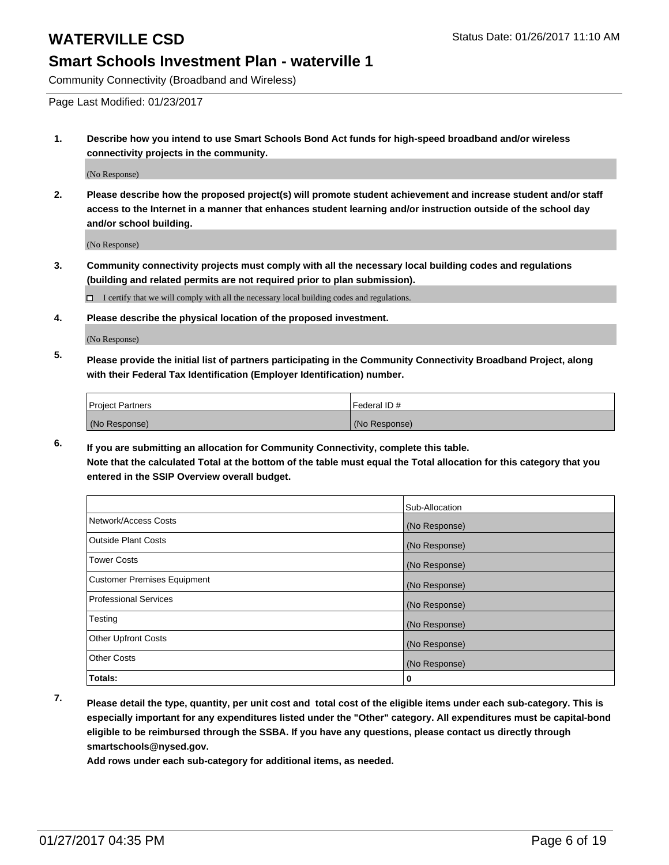Community Connectivity (Broadband and Wireless)

Page Last Modified: 01/23/2017

**1. Describe how you intend to use Smart Schools Bond Act funds for high-speed broadband and/or wireless connectivity projects in the community.**

(No Response)

**2. Please describe how the proposed project(s) will promote student achievement and increase student and/or staff access to the Internet in a manner that enhances student learning and/or instruction outside of the school day and/or school building.**

(No Response)

**3. Community connectivity projects must comply with all the necessary local building codes and regulations (building and related permits are not required prior to plan submission).**

 $\Box$  I certify that we will comply with all the necessary local building codes and regulations.

**4. Please describe the physical location of the proposed investment.**

(No Response)

**5. Please provide the initial list of partners participating in the Community Connectivity Broadband Project, along with their Federal Tax Identification (Employer Identification) number.**

| <b>Project Partners</b> | <b>IFederal ID#</b> |
|-------------------------|---------------------|
| (No Response)           | (No Response)       |

**6. If you are submitting an allocation for Community Connectivity, complete this table. Note that the calculated Total at the bottom of the table must equal the Total allocation for this category that you entered in the SSIP Overview overall budget.**

|                                    | Sub-Allocation |
|------------------------------------|----------------|
| Network/Access Costs               | (No Response)  |
| <b>Outside Plant Costs</b>         | (No Response)  |
| <b>Tower Costs</b>                 | (No Response)  |
| <b>Customer Premises Equipment</b> | (No Response)  |
| <b>Professional Services</b>       | (No Response)  |
| Testing                            | (No Response)  |
| <b>Other Upfront Costs</b>         | (No Response)  |
| <b>Other Costs</b>                 | (No Response)  |
| Totals:                            | 0              |

**7. Please detail the type, quantity, per unit cost and total cost of the eligible items under each sub-category. This is especially important for any expenditures listed under the "Other" category. All expenditures must be capital-bond eligible to be reimbursed through the SSBA. If you have any questions, please contact us directly through smartschools@nysed.gov.**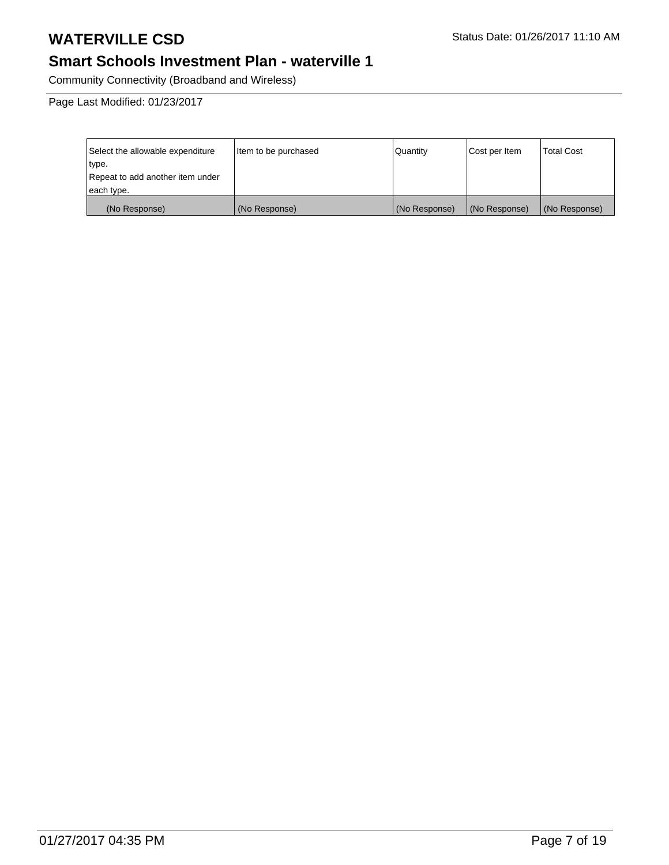## **Smart Schools Investment Plan - waterville 1**

Community Connectivity (Broadband and Wireless)

| Select the allowable expenditure | Item to be purchased | Quantity      | Cost per Item | <b>Total Cost</b> |
|----------------------------------|----------------------|---------------|---------------|-------------------|
| type.                            |                      |               |               |                   |
| Repeat to add another item under |                      |               |               |                   |
| each type.                       |                      |               |               |                   |
| (No Response)                    | (No Response)        | (No Response) | (No Response) | (No Response)     |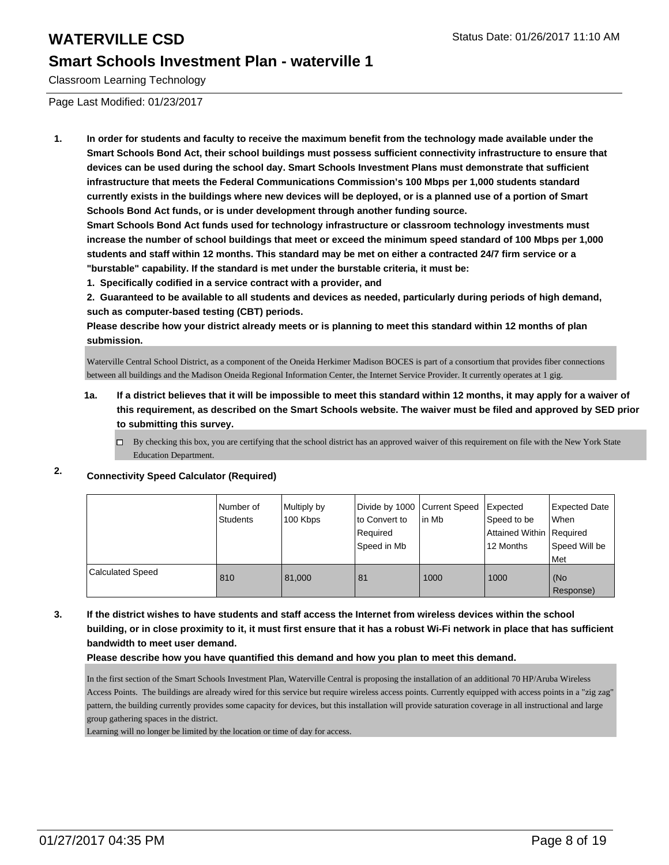Classroom Learning Technology

Page Last Modified: 01/23/2017

**1. In order for students and faculty to receive the maximum benefit from the technology made available under the Smart Schools Bond Act, their school buildings must possess sufficient connectivity infrastructure to ensure that devices can be used during the school day. Smart Schools Investment Plans must demonstrate that sufficient infrastructure that meets the Federal Communications Commission's 100 Mbps per 1,000 students standard currently exists in the buildings where new devices will be deployed, or is a planned use of a portion of Smart Schools Bond Act funds, or is under development through another funding source.**

**Smart Schools Bond Act funds used for technology infrastructure or classroom technology investments must increase the number of school buildings that meet or exceed the minimum speed standard of 100 Mbps per 1,000 students and staff within 12 months. This standard may be met on either a contracted 24/7 firm service or a "burstable" capability. If the standard is met under the burstable criteria, it must be:**

**1. Specifically codified in a service contract with a provider, and**

**2. Guaranteed to be available to all students and devices as needed, particularly during periods of high demand, such as computer-based testing (CBT) periods.**

**Please describe how your district already meets or is planning to meet this standard within 12 months of plan submission.**

Waterville Central School District, as a component of the Oneida Herkimer Madison BOCES is part of a consortium that provides fiber connections between all buildings and the Madison Oneida Regional Information Center, the Internet Service Provider. It currently operates at 1 gig.

- **1a. If a district believes that it will be impossible to meet this standard within 12 months, it may apply for a waiver of this requirement, as described on the Smart Schools website. The waiver must be filed and approved by SED prior to submitting this survey.**
	- $\Box$  By checking this box, you are certifying that the school district has an approved waiver of this requirement on file with the New York State Education Department.

## **2. Connectivity Speed Calculator (Required)**

|                  | I Number of<br><b>Students</b> | Multiply by<br>100 Kbps | Divide by 1000 Current Speed<br>lto Convert to<br>Required<br>Speed in Mb | in Mb | Expected<br>Speed to be<br>Attained Within   Required<br>12 Months | <b>Expected Date</b><br>l When<br>Speed Will be<br>Met |
|------------------|--------------------------------|-------------------------|---------------------------------------------------------------------------|-------|--------------------------------------------------------------------|--------------------------------------------------------|
| Calculated Speed | 810                            | 81,000                  | 81                                                                        | 1000  | 1000                                                               | (No<br>Response)                                       |

**3. If the district wishes to have students and staff access the Internet from wireless devices within the school building, or in close proximity to it, it must first ensure that it has a robust Wi-Fi network in place that has sufficient bandwidth to meet user demand.**

**Please describe how you have quantified this demand and how you plan to meet this demand.**

In the first section of the Smart Schools Investment Plan, Waterville Central is proposing the installation of an additional 70 HP/Aruba Wireless Access Points. The buildings are already wired for this service but require wireless access points. Currently equipped with access points in a "zig zag" pattern, the building currently provides some capacity for devices, but this installation will provide saturation coverage in all instructional and large group gathering spaces in the district.

Learning will no longer be limited by the location or time of day for access.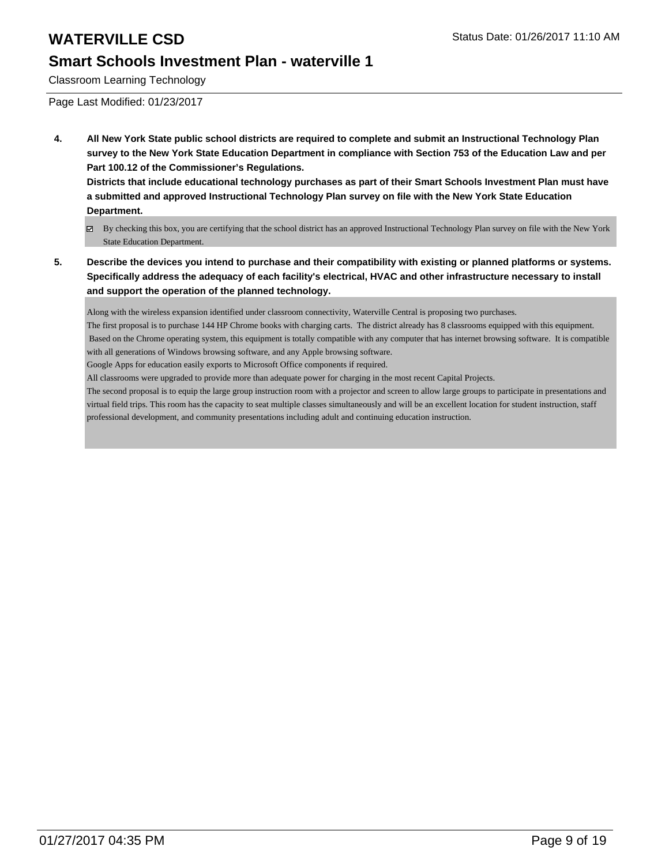Classroom Learning Technology

Page Last Modified: 01/23/2017

**4. All New York State public school districts are required to complete and submit an Instructional Technology Plan survey to the New York State Education Department in compliance with Section 753 of the Education Law and per Part 100.12 of the Commissioner's Regulations.**

**Districts that include educational technology purchases as part of their Smart Schools Investment Plan must have a submitted and approved Instructional Technology Plan survey on file with the New York State Education Department.**

- By checking this box, you are certifying that the school district has an approved Instructional Technology Plan survey on file with the New York State Education Department.
- **5. Describe the devices you intend to purchase and their compatibility with existing or planned platforms or systems. Specifically address the adequacy of each facility's electrical, HVAC and other infrastructure necessary to install and support the operation of the planned technology.**

Along with the wireless expansion identified under classroom connectivity, Waterville Central is proposing two purchases.

The first proposal is to purchase 144 HP Chrome books with charging carts. The district already has 8 classrooms equipped with this equipment. Based on the Chrome operating system, this equipment is totally compatible with any computer that has internet browsing software. It is compatible with all generations of Windows browsing software, and any Apple browsing software.

Google Apps for education easily exports to Microsoft Office components if required.

All classrooms were upgraded to provide more than adequate power for charging in the most recent Capital Projects.

The second proposal is to equip the large group instruction room with a projector and screen to allow large groups to participate in presentations and virtual field trips. This room has the capacity to seat multiple classes simultaneously and will be an excellent location for student instruction, staff professional development, and community presentations including adult and continuing education instruction.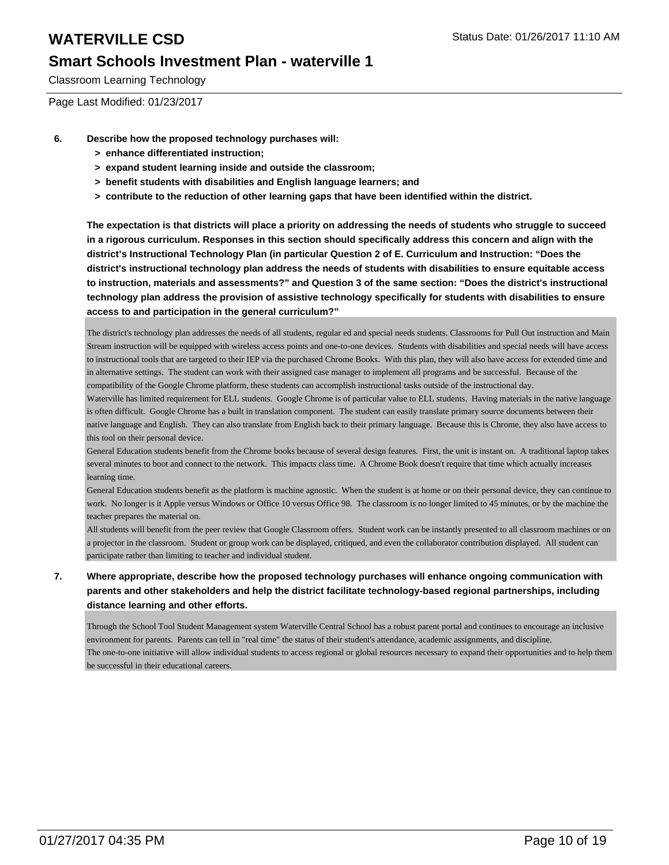Classroom Learning Technology

Page Last Modified: 01/23/2017

- **6. Describe how the proposed technology purchases will:**
	- **> enhance differentiated instruction;**
	- **> expand student learning inside and outside the classroom;**
	- **> benefit students with disabilities and English language learners; and**
	- **> contribute to the reduction of other learning gaps that have been identified within the district.**

**The expectation is that districts will place a priority on addressing the needs of students who struggle to succeed in a rigorous curriculum. Responses in this section should specifically address this concern and align with the district's Instructional Technology Plan (in particular Question 2 of E. Curriculum and Instruction: "Does the district's instructional technology plan address the needs of students with disabilities to ensure equitable access to instruction, materials and assessments?" and Question 3 of the same section: "Does the district's instructional technology plan address the provision of assistive technology specifically for students with disabilities to ensure access to and participation in the general curriculum?"**

The district's technology plan addresses the needs of all students, regular ed and special needs students. Classrooms for Pull Out instruction and Main Stream instruction will be equipped with wireless access points and one-to-one devices. Students with disabilities and special needs will have access to instructional tools that are targeted to their IEP via the purchased Chrome Books. With this plan, they will also have access for extended time and in alternative settings. The student can work with their assigned case manager to implement all programs and be successful. Because of the compatibility of the Google Chrome platform, these students can accomplish instructional tasks outside of the instructional day.

Waterville has limited requirement for ELL students. Google Chrome is of particular value to ELL students. Having materials in the native language is often difficult. Google Chrome has a built in translation component. The student can easily translate primary source documents between their native language and English. They can also translate from English back to their primary language. Because this is Chrome, they also have access to this tool on their personal device.

General Education students benefit from the Chrome books because of several design features. First, the unit is instant on. A traditional laptop takes several minutes to boot and connect to the network. This impacts class time. A Chrome Book doesn't require that time which actually increases learning time.

General Education students benefit as the platform is machine agnostic. When the student is at home or on their personal device, they can continue to work. No longer is it Apple versus Windows or Office 10 versus Office 98. The classroom is no longer limited to 45 minutes, or by the machine the teacher prepares the material on.

All students will benefit from the peer review that Google Classroom offers. Student work can be instantly presented to all classroom machines or on a projector in the classroom. Student or group work can be displayed, critiqued, and even the collaborator contribution displayed. All student can participate rather than limiting to teacher and individual student.

**7. Where appropriate, describe how the proposed technology purchases will enhance ongoing communication with parents and other stakeholders and help the district facilitate technology-based regional partnerships, including distance learning and other efforts.**

Through the School Tool Student Management system Waterville Central School has a robust parent portal and continues to encourage an inclusive environment for parents. Parents can tell in "real time" the status of their student's attendance, academic assignments, and discipline. The one-to-one initiative will allow individual students to access regional or global resources necessary to expand their opportunities and to help them be successful in their educational careers.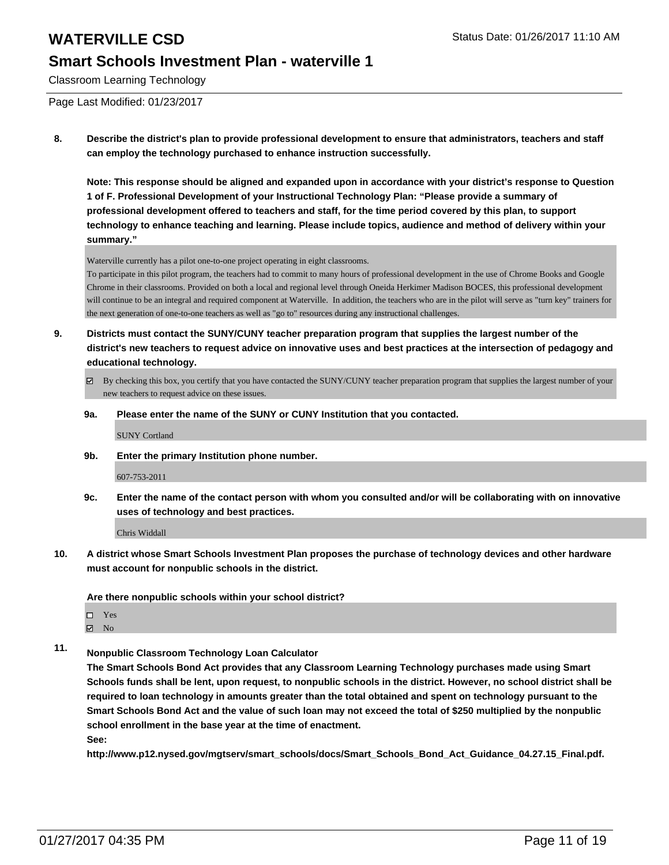Classroom Learning Technology

Page Last Modified: 01/23/2017

**8. Describe the district's plan to provide professional development to ensure that administrators, teachers and staff can employ the technology purchased to enhance instruction successfully.**

**Note: This response should be aligned and expanded upon in accordance with your district's response to Question 1 of F. Professional Development of your Instructional Technology Plan: "Please provide a summary of professional development offered to teachers and staff, for the time period covered by this plan, to support technology to enhance teaching and learning. Please include topics, audience and method of delivery within your summary."**

Waterville currently has a pilot one-to-one project operating in eight classrooms.

To participate in this pilot program, the teachers had to commit to many hours of professional development in the use of Chrome Books and Google Chrome in their classrooms. Provided on both a local and regional level through Oneida Herkimer Madison BOCES, this professional development will continue to be an integral and required component at Waterville. In addition, the teachers who are in the pilot will serve as "turn key" trainers for the next generation of one-to-one teachers as well as "go to" resources during any instructional challenges.

- **9. Districts must contact the SUNY/CUNY teacher preparation program that supplies the largest number of the district's new teachers to request advice on innovative uses and best practices at the intersection of pedagogy and educational technology.**
	- $\boxtimes$  By checking this box, you certify that you have contacted the SUNY/CUNY teacher preparation program that supplies the largest number of your new teachers to request advice on these issues.
	- **9a. Please enter the name of the SUNY or CUNY Institution that you contacted.**

SUNY Cortland

**9b. Enter the primary Institution phone number.**

607-753-2011

**9c. Enter the name of the contact person with whom you consulted and/or will be collaborating with on innovative uses of technology and best practices.**

Chris Widdall

**10. A district whose Smart Schools Investment Plan proposes the purchase of technology devices and other hardware must account for nonpublic schools in the district.**

**Are there nonpublic schools within your school district?**

- Yes
- $\boxtimes$  No
- **11. Nonpublic Classroom Technology Loan Calculator**

**The Smart Schools Bond Act provides that any Classroom Learning Technology purchases made using Smart Schools funds shall be lent, upon request, to nonpublic schools in the district. However, no school district shall be required to loan technology in amounts greater than the total obtained and spent on technology pursuant to the Smart Schools Bond Act and the value of such loan may not exceed the total of \$250 multiplied by the nonpublic school enrollment in the base year at the time of enactment.**

**See:**

**http://www.p12.nysed.gov/mgtserv/smart\_schools/docs/Smart\_Schools\_Bond\_Act\_Guidance\_04.27.15\_Final.pdf.**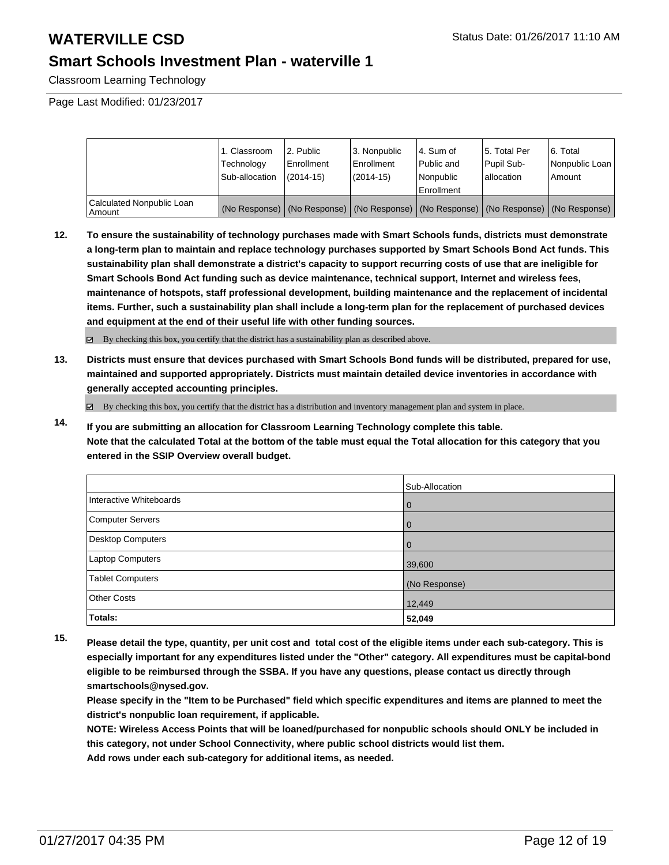Classroom Learning Technology

Page Last Modified: 01/23/2017

|                                       | 1. Classroom<br>Technology<br>Sub-allocation | 2. Public<br>Enrollment<br>$(2014-15)$ | 13. Nonpublic<br>l Enrollment<br>$(2014 - 15)$ | l 4. Sum of<br>Public and<br>l Nonpublic<br>Enrollment                                        | 15. Total Per<br>l Pupil Sub-<br>lallocation | 6. Total<br>Nonpublic Loan<br>Amount |
|---------------------------------------|----------------------------------------------|----------------------------------------|------------------------------------------------|-----------------------------------------------------------------------------------------------|----------------------------------------------|--------------------------------------|
| Calculated Nonpublic Loan<br>  Amount |                                              |                                        |                                                | (No Response)   (No Response)   (No Response)   (No Response)   (No Response)   (No Response) |                                              |                                      |

**12. To ensure the sustainability of technology purchases made with Smart Schools funds, districts must demonstrate a long-term plan to maintain and replace technology purchases supported by Smart Schools Bond Act funds. This sustainability plan shall demonstrate a district's capacity to support recurring costs of use that are ineligible for Smart Schools Bond Act funding such as device maintenance, technical support, Internet and wireless fees, maintenance of hotspots, staff professional development, building maintenance and the replacement of incidental items. Further, such a sustainability plan shall include a long-term plan for the replacement of purchased devices and equipment at the end of their useful life with other funding sources.**

By checking this box, you certify that the district has a sustainability plan as described above.

**13. Districts must ensure that devices purchased with Smart Schools Bond funds will be distributed, prepared for use, maintained and supported appropriately. Districts must maintain detailed device inventories in accordance with generally accepted accounting principles.**

 $\boxtimes$  By checking this box, you certify that the district has a distribution and inventory management plan and system in place.

**14. If you are submitting an allocation for Classroom Learning Technology complete this table. Note that the calculated Total at the bottom of the table must equal the Total allocation for this category that you entered in the SSIP Overview overall budget.**

|                         | Sub-Allocation |
|-------------------------|----------------|
| Interactive Whiteboards | $\mathbf 0$    |
| Computer Servers        | $\overline{0}$ |
| Desktop Computers       | $\mathbf 0$    |
| Laptop Computers        | 39,600         |
| <b>Tablet Computers</b> | (No Response)  |
| <b>Other Costs</b>      | 12,449         |
| Totals:                 | 52,049         |

**15. Please detail the type, quantity, per unit cost and total cost of the eligible items under each sub-category. This is especially important for any expenditures listed under the "Other" category. All expenditures must be capital-bond eligible to be reimbursed through the SSBA. If you have any questions, please contact us directly through smartschools@nysed.gov.**

**Please specify in the "Item to be Purchased" field which specific expenditures and items are planned to meet the district's nonpublic loan requirement, if applicable.**

**NOTE: Wireless Access Points that will be loaned/purchased for nonpublic schools should ONLY be included in this category, not under School Connectivity, where public school districts would list them.**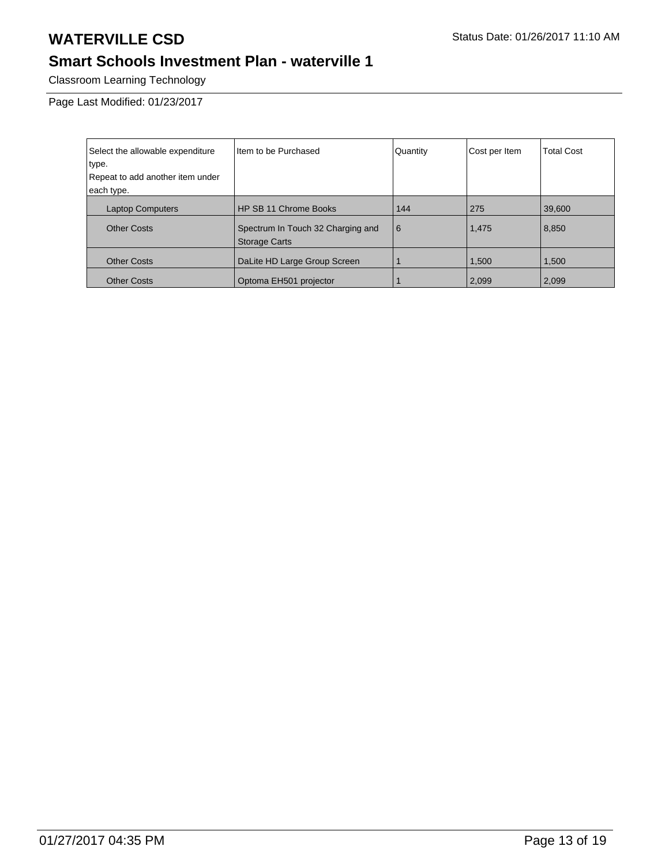## **Smart Schools Investment Plan - waterville 1**

Classroom Learning Technology

| Select the allowable expenditure | Item to be Purchased                                      | Quantity | Cost per Item | <b>Total Cost</b> |
|----------------------------------|-----------------------------------------------------------|----------|---------------|-------------------|
| type.                            |                                                           |          |               |                   |
| Repeat to add another item under |                                                           |          |               |                   |
| each type.                       |                                                           |          |               |                   |
| <b>Laptop Computers</b>          | <b>HP SB 11 Chrome Books</b>                              | 144      | 275           | 39,600            |
| <b>Other Costs</b>               | Spectrum In Touch 32 Charging and<br><b>Storage Carts</b> | l 6      | 1,475         | 8,850             |
| <b>Other Costs</b>               | DaLite HD Large Group Screen                              |          | 1,500         | 1,500             |
| <b>Other Costs</b>               | Optoma EH501 projector                                    |          | 2,099         | 2,099             |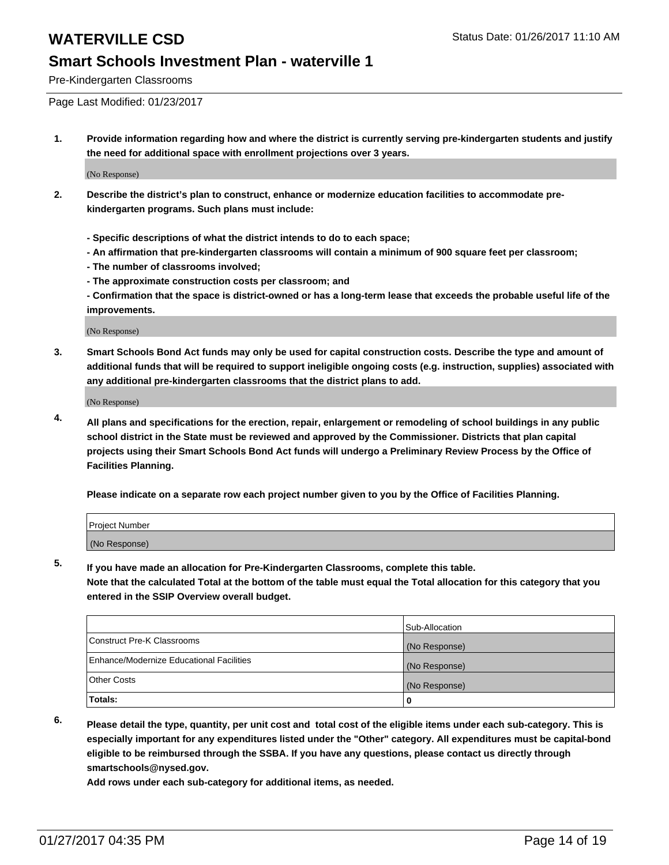Pre-Kindergarten Classrooms

Page Last Modified: 01/23/2017

**1. Provide information regarding how and where the district is currently serving pre-kindergarten students and justify the need for additional space with enrollment projections over 3 years.**

(No Response)

- **2. Describe the district's plan to construct, enhance or modernize education facilities to accommodate prekindergarten programs. Such plans must include:**
	- **Specific descriptions of what the district intends to do to each space;**
	- **An affirmation that pre-kindergarten classrooms will contain a minimum of 900 square feet per classroom;**
	- **The number of classrooms involved;**
	- **The approximate construction costs per classroom; and**
	- **Confirmation that the space is district-owned or has a long-term lease that exceeds the probable useful life of the improvements.**

(No Response)

**3. Smart Schools Bond Act funds may only be used for capital construction costs. Describe the type and amount of additional funds that will be required to support ineligible ongoing costs (e.g. instruction, supplies) associated with any additional pre-kindergarten classrooms that the district plans to add.**

(No Response)

**4. All plans and specifications for the erection, repair, enlargement or remodeling of school buildings in any public school district in the State must be reviewed and approved by the Commissioner. Districts that plan capital projects using their Smart Schools Bond Act funds will undergo a Preliminary Review Process by the Office of Facilities Planning.**

**Please indicate on a separate row each project number given to you by the Office of Facilities Planning.**

| Project Number |  |  |
|----------------|--|--|
| (No Response)  |  |  |

**5. If you have made an allocation for Pre-Kindergarten Classrooms, complete this table.**

**Note that the calculated Total at the bottom of the table must equal the Total allocation for this category that you entered in the SSIP Overview overall budget.**

|                                          | Sub-Allocation |
|------------------------------------------|----------------|
| Construct Pre-K Classrooms               | (No Response)  |
| Enhance/Modernize Educational Facilities | (No Response)  |
| Other Costs                              | (No Response)  |
| Totals:                                  |                |

**6. Please detail the type, quantity, per unit cost and total cost of the eligible items under each sub-category. This is especially important for any expenditures listed under the "Other" category. All expenditures must be capital-bond eligible to be reimbursed through the SSBA. If you have any questions, please contact us directly through smartschools@nysed.gov.**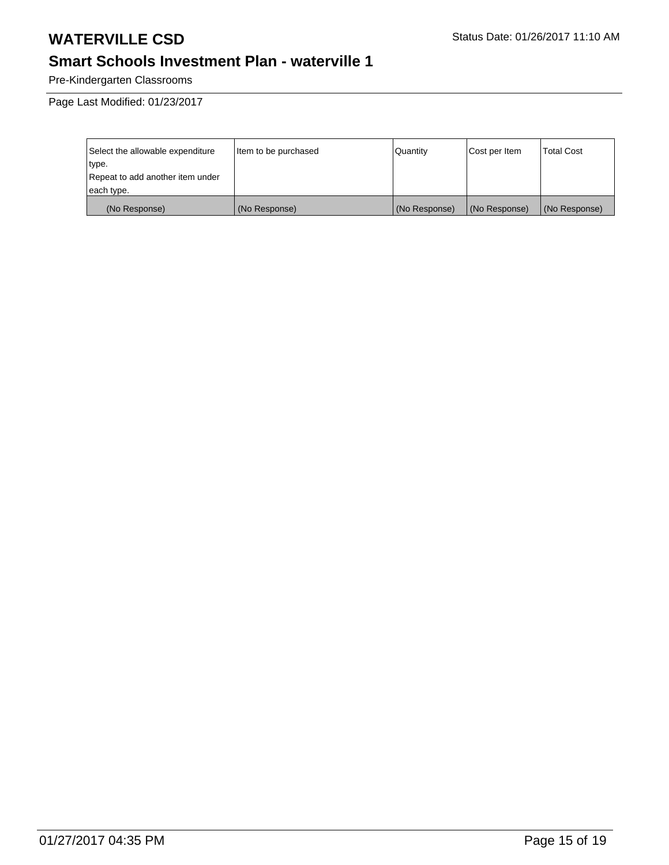## **Smart Schools Investment Plan - waterville 1**

Pre-Kindergarten Classrooms

| Select the allowable expenditure | Item to be purchased | l Quantitv    | Cost per Item | <b>Total Cost</b> |
|----------------------------------|----------------------|---------------|---------------|-------------------|
| type.                            |                      |               |               |                   |
| Repeat to add another item under |                      |               |               |                   |
| each type.                       |                      |               |               |                   |
| (No Response)                    | (No Response)        | (No Response) | (No Response) | (No Response)     |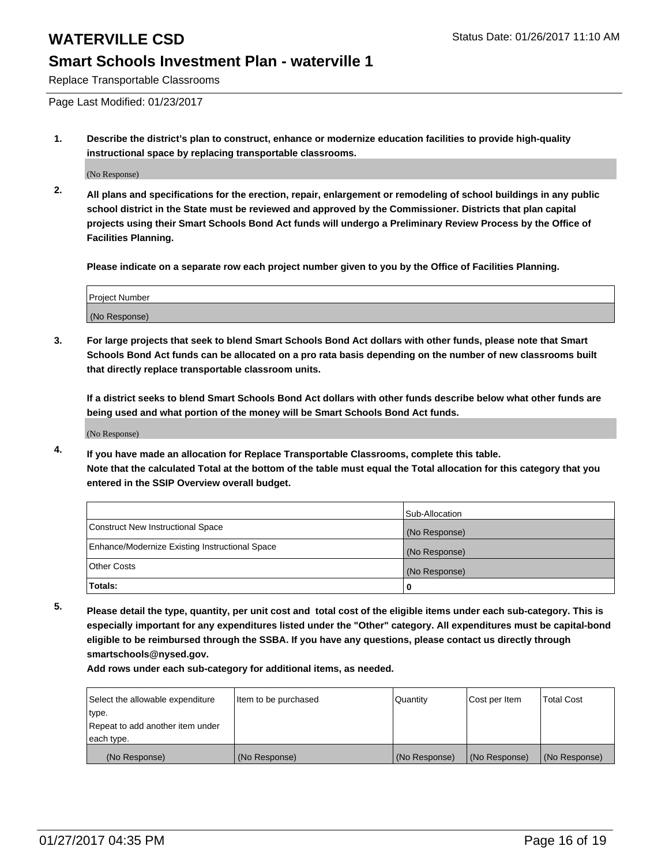Replace Transportable Classrooms

Page Last Modified: 01/23/2017

**1. Describe the district's plan to construct, enhance or modernize education facilities to provide high-quality instructional space by replacing transportable classrooms.**

(No Response)

**2. All plans and specifications for the erection, repair, enlargement or remodeling of school buildings in any public school district in the State must be reviewed and approved by the Commissioner. Districts that plan capital projects using their Smart Schools Bond Act funds will undergo a Preliminary Review Process by the Office of Facilities Planning.**

**Please indicate on a separate row each project number given to you by the Office of Facilities Planning.**

| <b>Project Number</b> |  |
|-----------------------|--|
| (No Response)         |  |

**3. For large projects that seek to blend Smart Schools Bond Act dollars with other funds, please note that Smart Schools Bond Act funds can be allocated on a pro rata basis depending on the number of new classrooms built that directly replace transportable classroom units.**

**If a district seeks to blend Smart Schools Bond Act dollars with other funds describe below what other funds are being used and what portion of the money will be Smart Schools Bond Act funds.**

(No Response)

**4. If you have made an allocation for Replace Transportable Classrooms, complete this table. Note that the calculated Total at the bottom of the table must equal the Total allocation for this category that you entered in the SSIP Overview overall budget.**

|                                                | Sub-Allocation |
|------------------------------------------------|----------------|
| Construct New Instructional Space              | (No Response)  |
| Enhance/Modernize Existing Instructional Space | (No Response)  |
| <b>Other Costs</b>                             | (No Response)  |
| Totals:                                        |                |

**5. Please detail the type, quantity, per unit cost and total cost of the eligible items under each sub-category. This is especially important for any expenditures listed under the "Other" category. All expenditures must be capital-bond eligible to be reimbursed through the SSBA. If you have any questions, please contact us directly through smartschools@nysed.gov.**

| Select the allowable expenditure | litem to be purchased | Quantity      | Cost per Item | <b>Total Cost</b> |
|----------------------------------|-----------------------|---------------|---------------|-------------------|
| type.                            |                       |               |               |                   |
| Repeat to add another item under |                       |               |               |                   |
| each type.                       |                       |               |               |                   |
| (No Response)                    | (No Response)         | (No Response) | (No Response) | (No Response)     |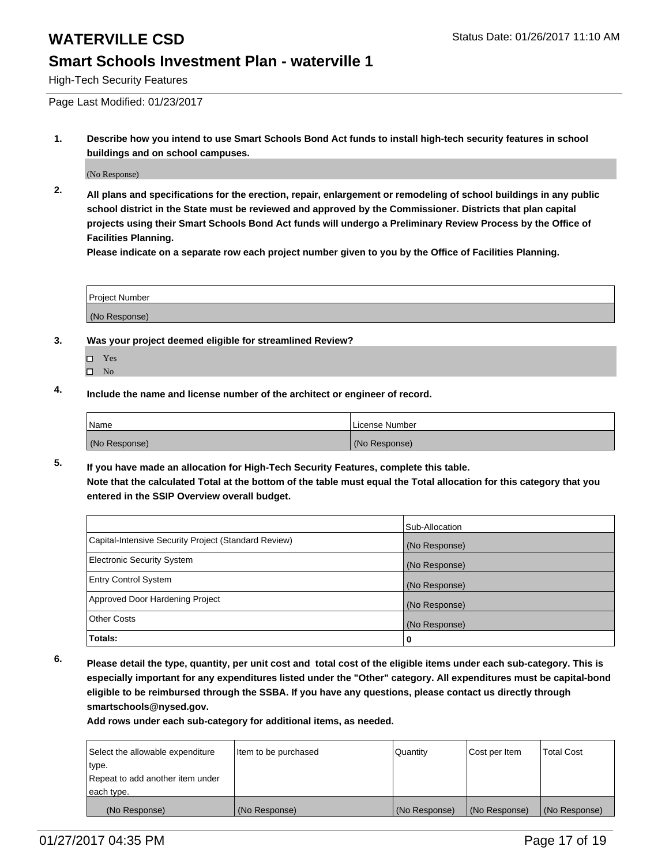High-Tech Security Features

Page Last Modified: 01/23/2017

**1. Describe how you intend to use Smart Schools Bond Act funds to install high-tech security features in school buildings and on school campuses.**

(No Response)

**2. All plans and specifications for the erection, repair, enlargement or remodeling of school buildings in any public school district in the State must be reviewed and approved by the Commissioner. Districts that plan capital projects using their Smart Schools Bond Act funds will undergo a Preliminary Review Process by the Office of Facilities Planning.** 

**Please indicate on a separate row each project number given to you by the Office of Facilities Planning.**

| <b>Project Number</b> |  |
|-----------------------|--|
| (No Response)         |  |

- **3. Was your project deemed eligible for streamlined Review?**
	- Yes
	- $\square$  No
- **4. Include the name and license number of the architect or engineer of record.**

| 'Name         | License Number |
|---------------|----------------|
| (No Response) | (No Response)  |

**5. If you have made an allocation for High-Tech Security Features, complete this table. Note that the calculated Total at the bottom of the table must equal the Total allocation for this category that you entered in the SSIP Overview overall budget.**

|                                                      | Sub-Allocation |
|------------------------------------------------------|----------------|
| Capital-Intensive Security Project (Standard Review) | (No Response)  |
| <b>Electronic Security System</b>                    | (No Response)  |
| <b>Entry Control System</b>                          | (No Response)  |
| Approved Door Hardening Project                      | (No Response)  |
| <b>Other Costs</b>                                   | (No Response)  |
| Totals:                                              | 0              |

**6. Please detail the type, quantity, per unit cost and total cost of the eligible items under each sub-category. This is especially important for any expenditures listed under the "Other" category. All expenditures must be capital-bond eligible to be reimbursed through the SSBA. If you have any questions, please contact us directly through smartschools@nysed.gov.**

| Select the allowable expenditure | Item to be purchased | <b>Quantity</b> | Cost per Item | <b>Total Cost</b> |
|----------------------------------|----------------------|-----------------|---------------|-------------------|
| type.                            |                      |                 |               |                   |
| Repeat to add another item under |                      |                 |               |                   |
| each type.                       |                      |                 |               |                   |
| (No Response)                    | (No Response)        | (No Response)   | (No Response) | (No Response)     |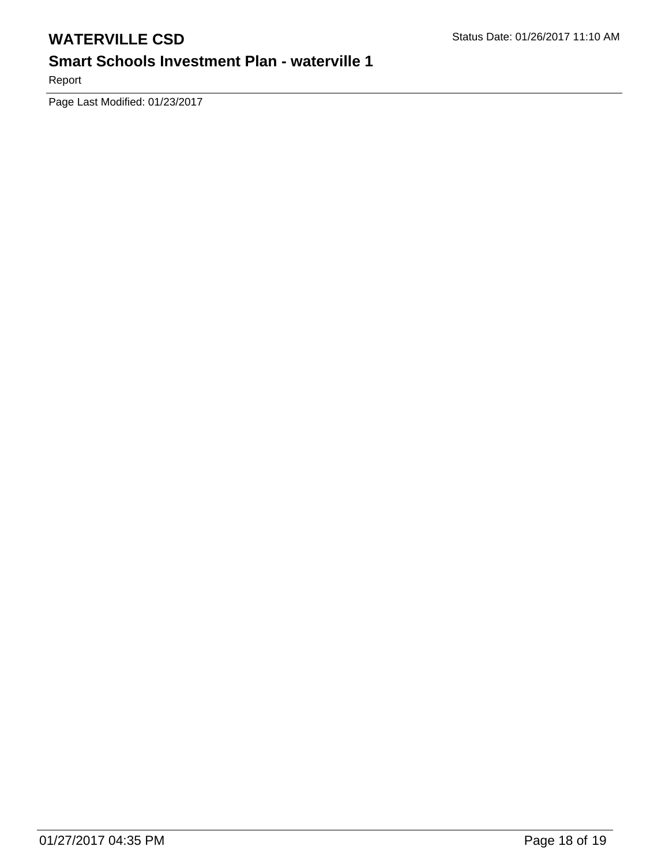## **Smart Schools Investment Plan - waterville 1**

Report